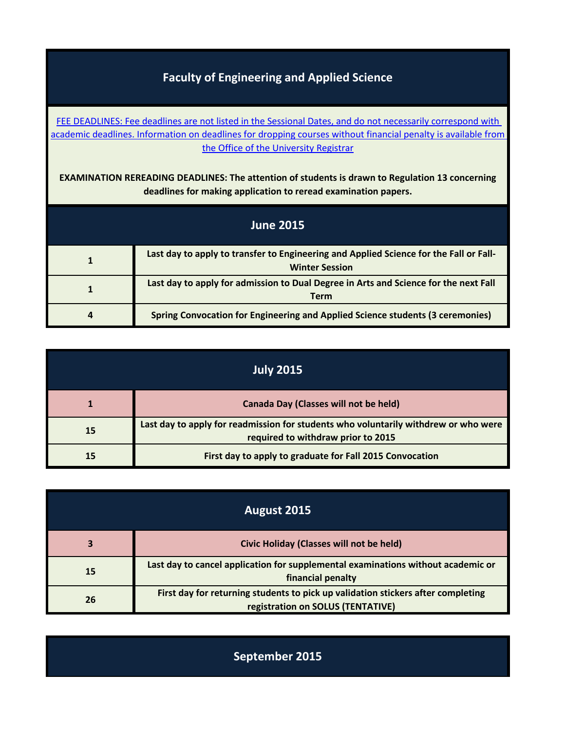## **Faculty of Engineering and Applied Science**

FEE DEADLINES: Fee deadlines are not listed in the Sessional Dates, and do not necessarily correspond with [academic deadlines.](http://www.queensu.ca/registrar/currentstudents/fees.html) Information on deadlines for dropping courses without financial penalty is available from the Office of the University Registrar

**EXAMINATION REREADING DEADLINES: The attention of students is drawn to Regulation 13 concerning deadlines for making application to reread examination papers.**

| <b>June 2015</b> |                                                                                                                 |
|------------------|-----------------------------------------------------------------------------------------------------------------|
|                  | Last day to apply to transfer to Engineering and Applied Science for the Fall or Fall-<br><b>Winter Session</b> |
|                  | Last day to apply for admission to Dual Degree in Arts and Science for the next Fall<br><b>Term</b>             |
| 4                | <b>Spring Convocation for Engineering and Applied Science students (3 ceremonies)</b>                           |

| <b>July 2015</b> |                                                                                                                           |
|------------------|---------------------------------------------------------------------------------------------------------------------------|
|                  | Canada Day (Classes will not be held)                                                                                     |
| 15               | Last day to apply for readmission for students who voluntarily withdrew or who were<br>required to withdraw prior to 2015 |
|                  | First day to apply to graduate for Fall 2015 Convocation                                                                  |

| August 2015 |                                                                                                                       |
|-------------|-----------------------------------------------------------------------------------------------------------------------|
|             | Civic Holiday (Classes will not be held)                                                                              |
| 15          | Last day to cancel application for supplemental examinations without academic or<br>financial penalty                 |
| 26          | First day for returning students to pick up validation stickers after completing<br>registration on SOLUS (TENTATIVE) |

**September 2015**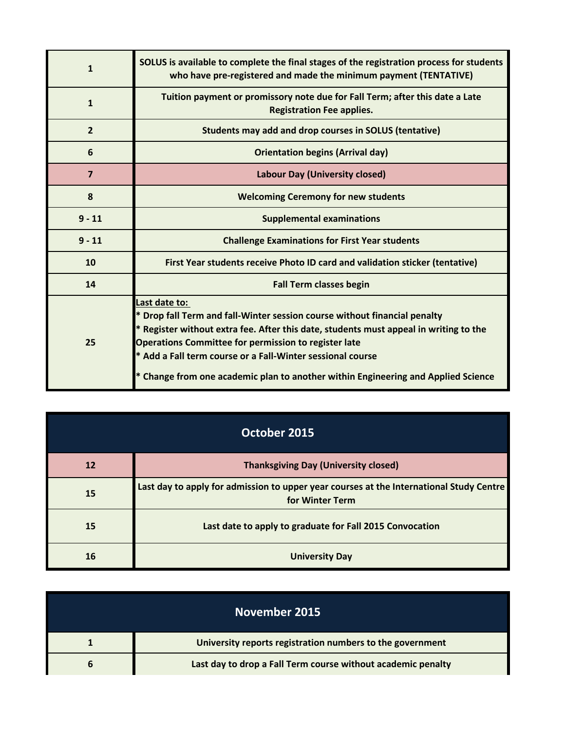| $\mathbf{1}$   | SOLUS is available to complete the final stages of the registration process for students<br>who have pre-registered and made the minimum payment (TENTATIVE)                                                                                                                                                                                                                                        |
|----------------|-----------------------------------------------------------------------------------------------------------------------------------------------------------------------------------------------------------------------------------------------------------------------------------------------------------------------------------------------------------------------------------------------------|
| $\mathbf{1}$   | Tuition payment or promissory note due for Fall Term; after this date a Late<br><b>Registration Fee applies.</b>                                                                                                                                                                                                                                                                                    |
| $\overline{2}$ | Students may add and drop courses in SOLUS (tentative)                                                                                                                                                                                                                                                                                                                                              |
| 6              | <b>Orientation begins (Arrival day)</b>                                                                                                                                                                                                                                                                                                                                                             |
| $\overline{7}$ | <b>Labour Day (University closed)</b>                                                                                                                                                                                                                                                                                                                                                               |
| 8              | <b>Welcoming Ceremony for new students</b>                                                                                                                                                                                                                                                                                                                                                          |
| $9 - 11$       | <b>Supplemental examinations</b>                                                                                                                                                                                                                                                                                                                                                                    |
| $9 - 11$       | <b>Challenge Examinations for First Year students</b>                                                                                                                                                                                                                                                                                                                                               |
| 10             | First Year students receive Photo ID card and validation sticker (tentative)                                                                                                                                                                                                                                                                                                                        |
| 14             | <b>Fall Term classes begin</b>                                                                                                                                                                                                                                                                                                                                                                      |
| 25             | Last date to:<br>Drop fall Term and fall-Winter session course without financial penalty<br>* Register without extra fee. After this date, students must appeal in writing to the<br><b>Operations Committee for permission to register late</b><br>* Add a Fall term course or a Fall-Winter sessional course<br>* Change from one academic plan to another within Engineering and Applied Science |

| October 2015 |                                                                                                            |
|--------------|------------------------------------------------------------------------------------------------------------|
| <b>12</b>    | <b>Thanksgiving Day (University closed)</b>                                                                |
| 15           | Last day to apply for admission to upper year courses at the International Study Centre<br>for Winter Term |
| 15           | Last date to apply to graduate for Fall 2015 Convocation                                                   |
| 16           | <b>University Day</b>                                                                                      |

| November 2015                                                |
|--------------------------------------------------------------|
| University reports registration numbers to the government    |
| Last day to drop a Fall Term course without academic penalty |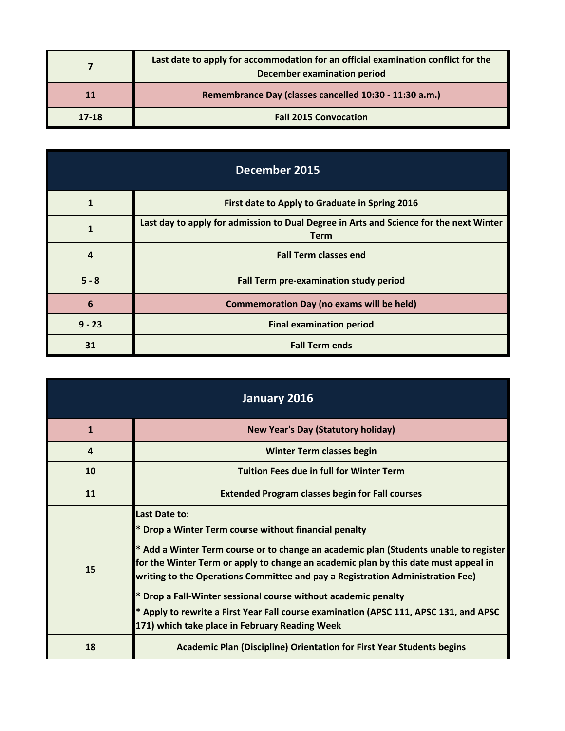|       | Last date to apply for accommodation for an official examination conflict for the<br><b>December examination period</b> |
|-------|-------------------------------------------------------------------------------------------------------------------------|
| 11    | Remembrance Day (classes cancelled 10:30 - 11:30 a.m.)                                                                  |
| 17-18 | <b>Fall 2015 Convocation</b>                                                                                            |

| December 2015  |                                                                                                       |
|----------------|-------------------------------------------------------------------------------------------------------|
| 1              | First date to Apply to Graduate in Spring 2016                                                        |
| 1              | Last day to apply for admission to Dual Degree in Arts and Science for the next Winter<br><b>Term</b> |
| $\overline{a}$ | <b>Fall Term classes end</b>                                                                          |
| $5 - 8$        | Fall Term pre-examination study period                                                                |
| 6              | <b>Commemoration Day (no exams will be held)</b>                                                      |
| $9 - 23$       | <b>Final examination period</b>                                                                       |
| 31             | <b>Fall Term ends</b>                                                                                 |

| January 2016 |                                                                                                                                                                                                                                                                                                                                                                                                                                                                                                                                                     |
|--------------|-----------------------------------------------------------------------------------------------------------------------------------------------------------------------------------------------------------------------------------------------------------------------------------------------------------------------------------------------------------------------------------------------------------------------------------------------------------------------------------------------------------------------------------------------------|
| $\mathbf{1}$ | <b>New Year's Day (Statutory holiday)</b>                                                                                                                                                                                                                                                                                                                                                                                                                                                                                                           |
| 4            | <b>Winter Term classes begin</b>                                                                                                                                                                                                                                                                                                                                                                                                                                                                                                                    |
| 10           | <b>Tuition Fees due in full for Winter Term</b>                                                                                                                                                                                                                                                                                                                                                                                                                                                                                                     |
| 11           | <b>Extended Program classes begin for Fall courses</b>                                                                                                                                                                                                                                                                                                                                                                                                                                                                                              |
| 15           | Last Date to:<br>* Drop a Winter Term course without financial penalty<br>* Add a Winter Term course or to change an academic plan (Students unable to register<br>for the Winter Term or apply to change an academic plan by this date must appeal in<br>writing to the Operations Committee and pay a Registration Administration Fee)<br>Drop a Fall-Winter sessional course without academic penalty<br>* Apply to rewrite a First Year Fall course examination (APSC 111, APSC 131, and APSC<br>171) which take place in February Reading Week |
| 18           | <b>Academic Plan (Discipline) Orientation for First Year Students begins</b>                                                                                                                                                                                                                                                                                                                                                                                                                                                                        |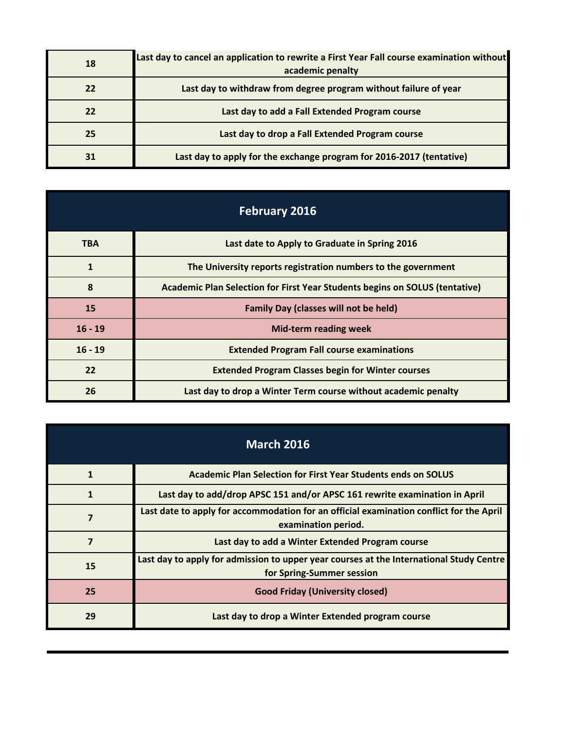| 18 | Last day to cancel an application to rewrite a First Year Fall course examination without<br>academic penalty |
|----|---------------------------------------------------------------------------------------------------------------|
| 22 | Last day to withdraw from degree program without failure of year                                              |
| 22 | Last day to add a Fall Extended Program course                                                                |
| 25 | Last day to drop a Fall Extended Program course                                                               |
|    | Last day to apply for the exchange program for 2016-2017 (tentative)                                          |

| <b>February 2016</b> |                                                                             |
|----------------------|-----------------------------------------------------------------------------|
| <b>TBA</b>           | Last date to Apply to Graduate in Spring 2016                               |
| $\mathbf{1}$         | The University reports registration numbers to the government               |
| 8                    | Academic Plan Selection for First Year Students begins on SOLUS (tentative) |
| <b>15</b>            | <b>Family Day (classes will not be held)</b>                                |
| $16 - 19$            | Mid-term reading week                                                       |
| $16 - 19$            | <b>Extended Program Fall course examinations</b>                            |
| 22                   | <b>Extended Program Classes begin for Winter courses</b>                    |
| 26                   | Last day to drop a Winter Term course without academic penalty              |

| <b>March 2016</b> |                                                                                                                      |
|-------------------|----------------------------------------------------------------------------------------------------------------------|
| 1                 | Academic Plan Selection for First Year Students ends on SOLUS                                                        |
|                   | Last day to add/drop APSC 151 and/or APSC 161 rewrite examination in April                                           |
| 7                 | Last date to apply for accommodation for an official examination conflict for the April<br>examination period.       |
|                   | Last day to add a Winter Extended Program course                                                                     |
| 15                | Last day to apply for admission to upper year courses at the International Study Centre<br>for Spring-Summer session |
| 25                | <b>Good Friday (University closed)</b>                                                                               |
| 29                | Last day to drop a Winter Extended program course                                                                    |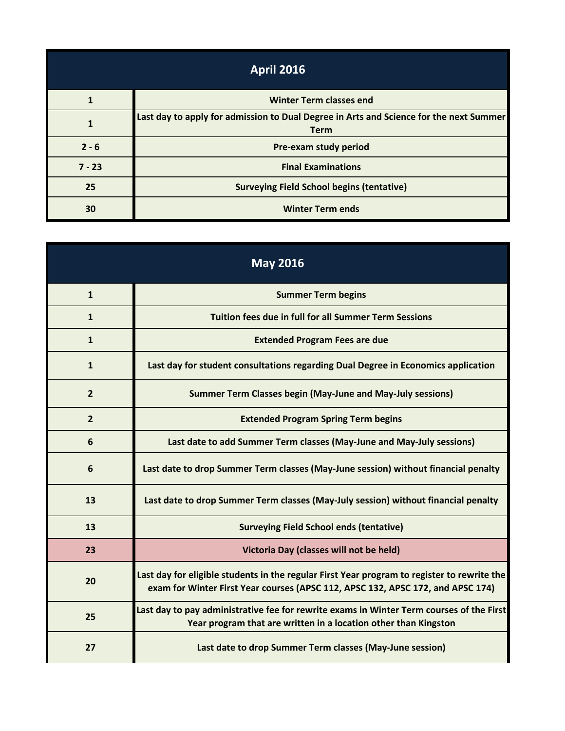| <b>April 2016</b> |                                                                                                       |  |
|-------------------|-------------------------------------------------------------------------------------------------------|--|
|                   | <b>Winter Term classes end</b>                                                                        |  |
|                   | Last day to apply for admission to Dual Degree in Arts and Science for the next Summer<br><b>Term</b> |  |
| $2 - 6$           | Pre-exam study period                                                                                 |  |
| $7 - 23$          | <b>Final Examinations</b>                                                                             |  |
| 25                | <b>Surveying Field School begins (tentative)</b>                                                      |  |
| 30                | <b>Winter Term ends</b>                                                                               |  |

| <b>May 2016</b> |                                                                                                                                                                                |  |
|-----------------|--------------------------------------------------------------------------------------------------------------------------------------------------------------------------------|--|
| $\mathbf{1}$    | <b>Summer Term begins</b>                                                                                                                                                      |  |
| $\mathbf{1}$    | <b>Tuition fees due in full for all Summer Term Sessions</b>                                                                                                                   |  |
| $\mathbf{1}$    | <b>Extended Program Fees are due</b>                                                                                                                                           |  |
| $\mathbf{1}$    | Last day for student consultations regarding Dual Degree in Economics application                                                                                              |  |
| $\overline{2}$  | <b>Summer Term Classes begin (May-June and May-July sessions)</b>                                                                                                              |  |
| $\overline{2}$  | <b>Extended Program Spring Term begins</b>                                                                                                                                     |  |
| 6               | Last date to add Summer Term classes (May-June and May-July sessions)                                                                                                          |  |
| 6               | Last date to drop Summer Term classes (May-June session) without financial penalty                                                                                             |  |
| 13              | Last date to drop Summer Term classes (May-July session) without financial penalty                                                                                             |  |
| 13              | <b>Surveying Field School ends (tentative)</b>                                                                                                                                 |  |
| 23              | Victoria Day (classes will not be held)                                                                                                                                        |  |
| 20              | Last day for eligible students in the regular First Year program to register to rewrite the<br>exam for Winter First Year courses (APSC 112, APSC 132, APSC 172, and APSC 174) |  |
| 25              | Last day to pay administrative fee for rewrite exams in Winter Term courses of the First<br>Year program that are written in a location other than Kingston                    |  |
| 27              | Last date to drop Summer Term classes (May-June session)                                                                                                                       |  |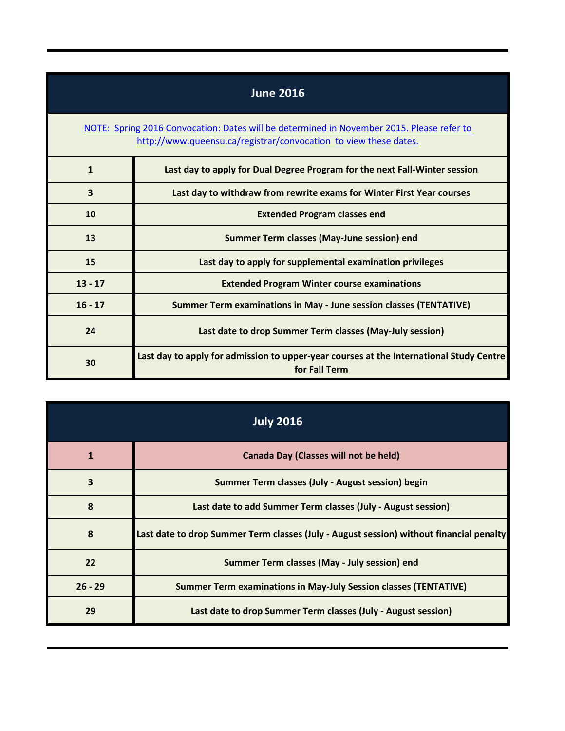| <b>June 2016</b>                                                                                                                                              |                                                                                                          |  |
|---------------------------------------------------------------------------------------------------------------------------------------------------------------|----------------------------------------------------------------------------------------------------------|--|
| NOTE: Spring 2016 Convocation: Dates will be determined in November 2015. Please refer to<br>http://www.queensu.ca/registrar/convocation to view these dates. |                                                                                                          |  |
| $\mathbf{1}$                                                                                                                                                  | Last day to apply for Dual Degree Program for the next Fall-Winter session                               |  |
| $\overline{\mathbf{3}}$                                                                                                                                       | Last day to withdraw from rewrite exams for Winter First Year courses                                    |  |
| 10                                                                                                                                                            | <b>Extended Program classes end</b>                                                                      |  |
| 13                                                                                                                                                            | Summer Term classes (May-June session) end                                                               |  |
| 15                                                                                                                                                            | Last day to apply for supplemental examination privileges                                                |  |
| $13 - 17$                                                                                                                                                     | <b>Extended Program Winter course examinations</b>                                                       |  |
| $16 - 17$                                                                                                                                                     | <b>Summer Term examinations in May - June session classes (TENTATIVE)</b>                                |  |
| 24                                                                                                                                                            | Last date to drop Summer Term classes (May-July session)                                                 |  |
| 30                                                                                                                                                            | Last day to apply for admission to upper-year courses at the International Study Centre<br>for Fall Term |  |

| <b>July 2016</b> |                                                                                         |
|------------------|-----------------------------------------------------------------------------------------|
| $\mathbf{1}$     | Canada Day (Classes will not be held)                                                   |
| 3                | Summer Term classes (July - August session) begin                                       |
| 8                | Last date to add Summer Term classes (July - August session)                            |
| 8                | Last date to drop Summer Term classes (July - August session) without financial penalty |
| 22               | Summer Term classes (May - July session) end                                            |
| $26 - 29$        | <b>Summer Term examinations in May-July Session classes (TENTATIVE)</b>                 |
| 29               | Last date to drop Summer Term classes (July - August session)                           |